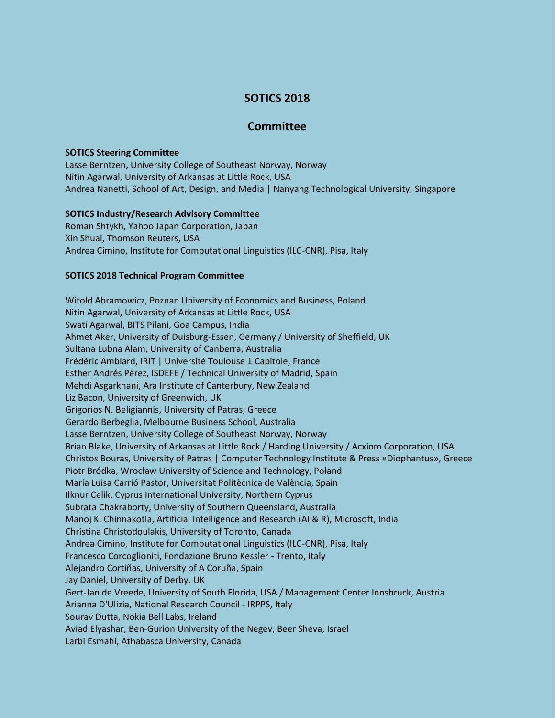# **SOTICS 2018**

## **Committee**

### **SOTICS Steering Committee**

Lasse Berntzen, University College of Southeast Norway, Norway Nitin Agarwal, University of Arkansas at Little Rock, USA Andrea Nanetti, School of Art, Design, and Media | Nanyang Technological University, Singapore

### **SOTICS Industry/Research Advisory Committee**

Roman Shtykh, Yahoo Japan Corporation, Japan Xin Shuai, Thomson Reuters, USA Andrea Cimino, Institute for Computational Linguistics (ILC-CNR), Pisa, Italy

### **SOTICS 2018 Technical Program Committee**

Witold Abramowicz, Poznan University of Economics and Business, Poland Nitin Agarwal, University of Arkansas at Little Rock, USA Swati Agarwal, BITS Pilani, Goa Campus, India Ahmet Aker, University of Duisburg-Essen, Germany / University of Sheffield, UK Sultana Lubna Alam, University of Canberra, Australia Frédéric Amblard, IRIT | Université Toulouse 1 Capitole, France Esther Andrés Pérez, ISDEFE / Technical University of Madrid, Spain Mehdi Asgarkhani, Ara Institute of Canterbury, New Zealand Liz Bacon, University of Greenwich, UK Grigorios N. Beligiannis, University of Patras, Greece Gerardo Berbeglia, Melbourne Business School, Australia Lasse Berntzen, University College of Southeast Norway, Norway Brian Blake, University of Arkansas at Little Rock / Harding University / Acxiom Corporation, USA Christos Bouras, University of Patras | Computer Technology Institute & Press «Diophantus», Greece Piotr Bródka, Wrocław University of Science and Technology, Poland María Luisa Carrió Pastor, Universitat Politècnica de València, Spain Ilknur Celik, Cyprus International University, Northern Cyprus Subrata Chakraborty, University of Southern Queensland, Australia Manoj K. Chinnakotla, Artificial Intelligence and Research (AI & R), Microsoft, India Christina Christodoulakis, University of Toronto, Canada Andrea Cimino, Institute for Computational Linguistics (ILC-CNR), Pisa, Italy Francesco Corcoglioniti, Fondazione Bruno Kessler - Trento, Italy Alejandro Cortiñas, University of A Coruña, Spain Jay Daniel, University of Derby, UK Gert-Jan de Vreede, University of South Florida, USA / Management Center Innsbruck, Austria Arianna D'Ulizia, National Research Council - IRPPS, Italy Sourav Dutta, Nokia Bell Labs, Ireland Aviad Elyashar, Ben-Gurion University of the Negev, Beer Sheva, Israel Larbi Esmahi, Athabasca University, Canada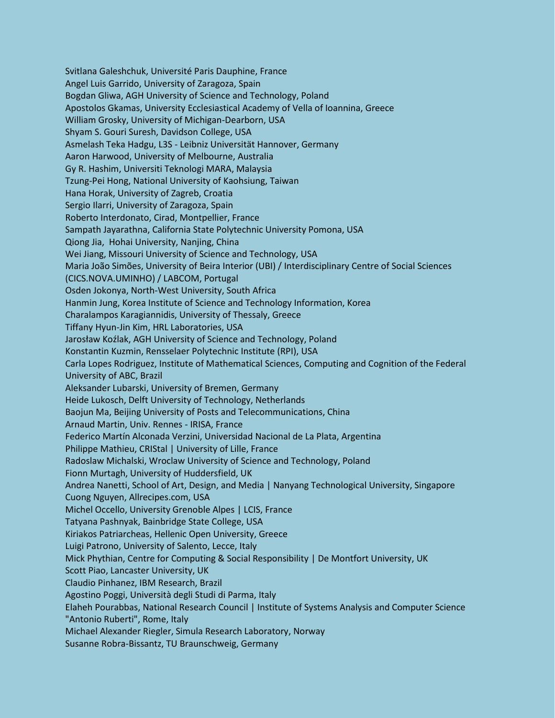Svitlana Galeshchuk, Université Paris Dauphine, France Angel Luis Garrido, University of Zaragoza, Spain Bogdan Gliwa, AGH University of Science and Technology, Poland Apostolos Gkamas, University Ecclesiastical Academy of Vella of Ioannina, Greece William Grosky, University of Michigan-Dearborn, USA Shyam S. Gouri Suresh, Davidson College, USA Asmelash Teka Hadgu, L3S - Leibniz Universität Hannover, Germany Aaron Harwood, University of Melbourne, Australia Gy R. Hashim, Universiti Teknologi MARA, Malaysia Tzung-Pei Hong, National University of Kaohsiung, Taiwan Hana Horak, University of Zagreb, Croatia Sergio Ilarri, University of Zaragoza, Spain Roberto Interdonato, Cirad, Montpellier, France Sampath Jayarathna, California State Polytechnic University Pomona, USA Qiong Jia, Hohai University, Nanjing, China Wei Jiang, Missouri University of Science and Technology, USA Maria João Simões, University of Beira Interior (UBI) / Interdisciplinary Centre of Social Sciences (CICS.NOVA.UMINHO) / LABCOM, Portugal Osden Jokonya, North-West University, South Africa Hanmin Jung, Korea Institute of Science and Technology Information, Korea Charalampos Karagiannidis, University of Thessaly, Greece Tiffany Hyun-Jin Kim, HRL Laboratories, USA Jarosław Koźlak, AGH University of Science and Technology, Poland Konstantin Kuzmin, Rensselaer Polytechnic Institute (RPI), USA Carla Lopes Rodriguez, Institute of Mathematical Sciences, Computing and Cognition of the Federal University of ABC, Brazil Aleksander Lubarski, University of Bremen, Germany Heide Lukosch, Delft University of Technology, Netherlands Baojun Ma, Beijing University of Posts and Telecommunications, China Arnaud Martin, Univ. Rennes - IRISA, France Federico Martín Alconada Verzini, Universidad Nacional de La Plata, Argentina Philippe Mathieu, CRIStal | University of Lille, France Radoslaw Michalski, Wroclaw University of Science and Technology, Poland Fionn Murtagh, University of Huddersfield, UK Andrea Nanetti, School of Art, Design, and Media | Nanyang Technological University, Singapore Cuong Nguyen, Allrecipes.com, USA Michel Occello, University Grenoble Alpes | LCIS, France Tatyana Pashnyak, Bainbridge State College, USA Kiriakos Patriarcheas, Hellenic Open University, Greece Luigi Patrono, University of Salento, Lecce, Italy Mick Phythian, Centre for Computing & Social Responsibility | De Montfort University, UK Scott Piao, Lancaster University, UK Claudio Pinhanez, IBM Research, Brazil Agostino Poggi, Università degli Studi di Parma, Italy Elaheh Pourabbas, National Research Council | Institute of Systems Analysis and Computer Science "Antonio Ruberti", Rome, Italy Michael Alexander Riegler, Simula Research Laboratory, Norway Susanne Robra-Bissantz, TU Braunschweig, Germany